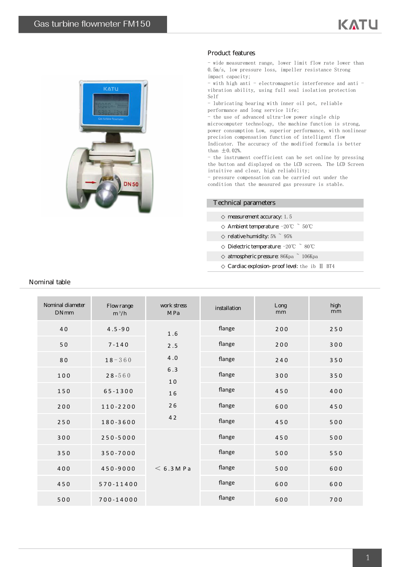

## Product features

- wide measurement range, lower limit flow rate lower than 0.5m/s, low pressure loss, impeller resistance Strong impact capacity;

- with high anti - electromagnetic interference and anti vibration ability, using full seal isolation protection Self

- lubricating bearing with inner oil pot, reliable performance and long service life;

- the use of advanced ultra-low power single chip

microcomputer technology, the machine function is strong, power consumption Low, superior performance, with nonlinear precision compensation function of intelligent flow Indicator. The accuracy of the modified formula is better than  $\pm 0.02$ %.

- the instrument coefficient can be set online by pressing the button and displayed on the LCD screen. The LCD Screen intuitive and clear, high reliability;

- pressure compensation can be carried out under the condition that the measured gas pressure is stable.

## Technical parameters

measurement accuracy: 1.5

Ambient temperature: -20℃ ~ 50℃

relative humidity:  $5\%$   $\degree$   $95\%$ 

Dielectric temperature: -20℃ ~ 80℃

atmospheric pressure: 86Kpa ~ 106Kpa

Cardiac explosion-proof level: the ib II BT4

| Noninal diameter<br><b>DNnm</b> | Flowrange<br>$m^3/h$ | work stress<br><b>MPa</b>            | installation | Long<br>mm | high<br>mm |
|---------------------------------|----------------------|--------------------------------------|--------------|------------|------------|
| 40                              | $4.5 - 90$           | 1.6                                  | flange       | 200        | 250        |
| 50                              | $7 - 140$            | 2.5                                  | flange       | 200        | 300        |
| 80                              | $18 - 360$           | 4.0<br>$6.3$<br>10<br>16<br>26<br>42 | flange       | 240        | 350        |
| 100                             | $28 - 560$           |                                      | flange       | 300        | 350        |
| 150                             | $65 - 1300$          |                                      | flange       | 450        | 400        |
| 200                             | 110-2200             |                                      | flange       | 600        | 450        |
| 250                             | 180-3600             |                                      | flange       | 450        | 500        |
| 300                             | $250 - 5000$         |                                      | flange       | 450        | 500        |
| 350                             | 350-7000             | $< 6.3$ M P a                        | flange       | 500        | 550        |
| 400                             | 450-9000             |                                      | flange       | 500        | 600        |
| 450                             | 570-11400            |                                      | flange       | 600        | 600        |
| 500                             | 700-14000            |                                      | flange       | 600        | 700        |

## Nominal table